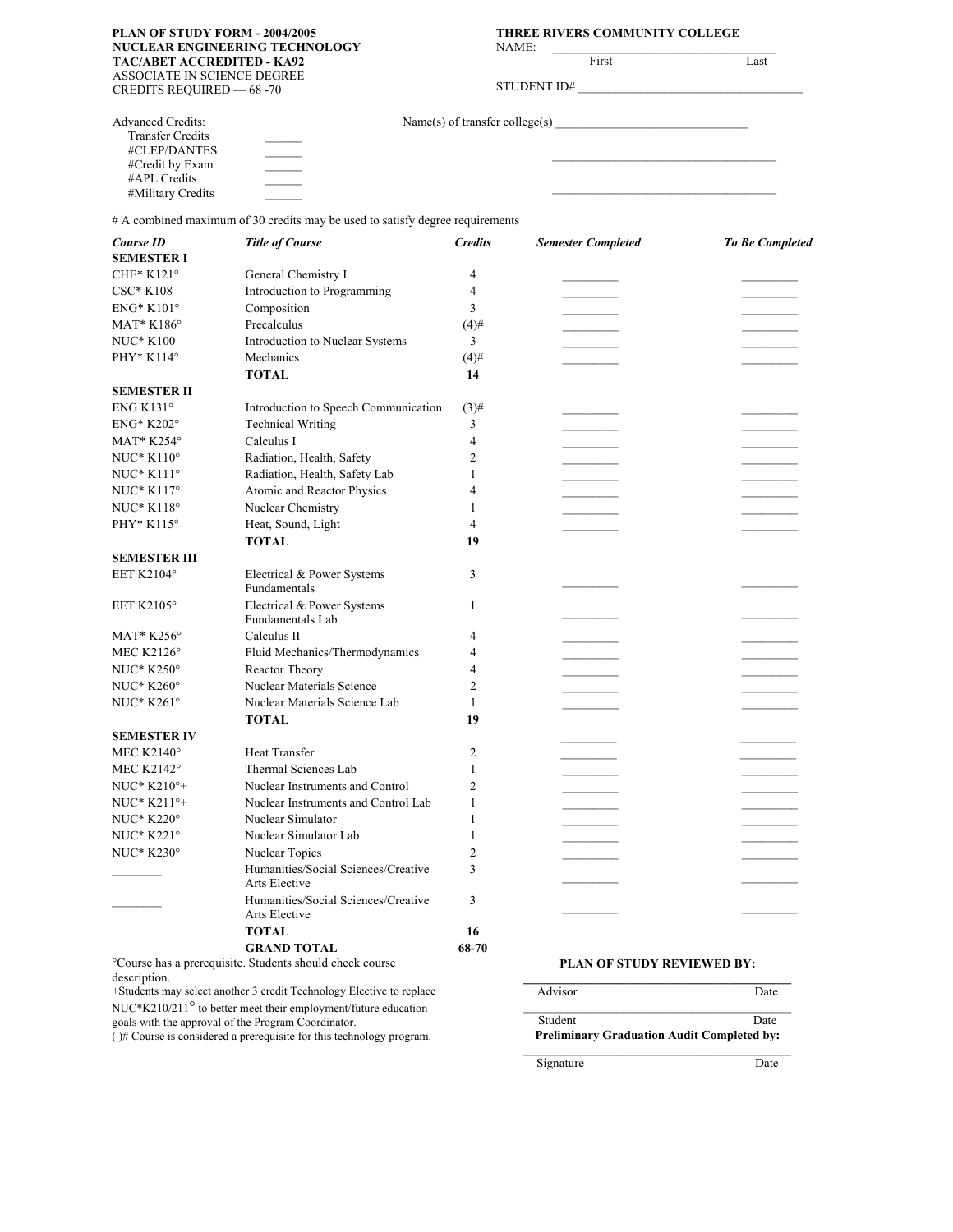#### **PLAN OF STUDY FORM - 2004/2005 THREE RIVERS COMMUNITY COLLEGE NUCLEAR ENGINEERING TECHNOLOGY TAC/ABET ACCREDITED - KA92** ASSOCIATE IN SCIENCE DEGREE

NAME:

Last

|             | First |
|-------------|-------|
| STUDENT ID# |       |

| дзэосілте ну эсіерсе респ |            |
|---------------------------|------------|
| CREDITS REQUIRED -        | $-68 - 70$ |

| <b>Advanced Credits:</b> | Name(s) of transfer college(s) |  |
|--------------------------|--------------------------------|--|
| <b>Transfer Credits</b>  |                                |  |
| #CLEP/DANTES             |                                |  |
| #Credit by Exam          |                                |  |
| #APL Credits             |                                |  |
| #Military Credits        |                                |  |

# A combined maximum of 30 credits may be used to satisfy degree requirements

| Course ID<br><b>SEMESTER I</b> | <b>Title of Course</b>                               | <b>Credits</b> | <b>Semester Completed</b> | To Be Completed |
|--------------------------------|------------------------------------------------------|----------------|---------------------------|-----------------|
| CHE* $K121^\circ$              | General Chemistry I                                  | 4              |                           |                 |
|                                |                                                      |                |                           |                 |
| <b>CSC* K108</b>               | Introduction to Programming                          | 4<br>3         |                           |                 |
| $ENG^*$ K101°                  | Composition                                          |                |                           |                 |
| $MAT*K186°$                    | Precalculus                                          | $(4)$ #        |                           |                 |
| <b>NUC* K100</b>               | Introduction to Nuclear Systems                      | 3              |                           |                 |
| PHY* K114°                     | Mechanics                                            | $(4)$ #        |                           |                 |
|                                | <b>TOTAL</b>                                         | 14             |                           |                 |
| <b>SEMESTER II</b>             |                                                      |                |                           |                 |
| ENG K131 $\circ$               | Introduction to Speech Communication                 | $(3)$ #        |                           |                 |
| <b>ENG* K202°</b>              | <b>Technical Writing</b>                             | 3              |                           |                 |
| MAT* K254°                     | Calculus I                                           | 4              |                           |                 |
| $NUC^*K110^{\circ}$            | Radiation, Health, Safety                            | 2              |                           |                 |
| NUC* K111°                     | Radiation, Health, Safety Lab                        | 1              |                           |                 |
| $NUC^*$ K117°                  | Atomic and Reactor Physics                           | 4              |                           |                 |
| $NUC^*$ K118 $^{\circ}$        | Nuclear Chemistry                                    | 1              |                           |                 |
| PHY* K115°                     | Heat, Sound, Light                                   | 4              |                           |                 |
|                                | <b>TOTAL</b>                                         | 19             |                           |                 |
| SEMESTER III                   |                                                      |                |                           |                 |
| EET K2104°                     | Electrical & Power Systems<br>Fundamentals           | 3              |                           |                 |
| EET K2105°                     | Electrical & Power Systems<br>Fundamentals Lab       | 1              |                           |                 |
| MAT* $K256^\circ$              | Calculus II                                          | 4              |                           |                 |
| MEC K2126 $^{\circ}$           | Fluid Mechanics/Thermodynamics                       | 4              |                           |                 |
| $NUC^*$ K250 $^{\circ}$        | Reactor Theory                                       | 4              |                           |                 |
| $NUC^*$ K260 $^{\circ}$        | Nuclear Materials Science                            | 2              |                           |                 |
| NUC* K261°                     | Nuclear Materials Science Lab                        | 1              |                           |                 |
|                                | <b>TOTAL</b>                                         | 19             |                           |                 |
| <b>SEMESTER IV</b>             |                                                      |                |                           |                 |
| MEC K2140 $^{\circ}$           | Heat Transfer                                        | 2              |                           |                 |
| MEC K2142°                     | Thermal Sciences Lab                                 | 1              |                           |                 |
| NUC* K210°+                    | Nuclear Instruments and Control                      | 2              |                           |                 |
| NUC* K211°+                    | Nuclear Instruments and Control Lab                  | 1              |                           |                 |
| $NUC*$ K220 $^{\circ}$         | Nuclear Simulator                                    | 1              |                           |                 |
| NUC* K221°                     | Nuclear Simulator Lab                                | 1              |                           |                 |
| <b>NUC* K230°</b>              | Nuclear Topics                                       | $\overline{c}$ |                           |                 |
|                                | Humanities/Social Sciences/Creative                  | 3              |                           |                 |
|                                | Arts Elective                                        |                |                           |                 |
|                                | Humanities/Social Sciences/Creative<br>Arts Elective | 3              |                           |                 |
|                                | <b>TOTAL</b>                                         | 16             |                           |                 |
|                                | <b>GRAND TOTAL</b>                                   | 68-70          |                           |                 |

°Course has a prerequisite. Students should check course description.

+Students may select another 3 credit Technology Elective to replace NUC\*K210/211° to better meet their employment/future education goals with the approval of the Program Coordinator.

( )# Course is considered a prerequisite for this technology program.

#### **PLAN OF STUDY REVIEWED BY: \_\_\_\_\_\_\_\_\_\_\_\_\_\_\_\_\_\_\_\_\_\_\_\_\_\_\_\_\_\_\_\_\_\_\_\_\_\_\_\_\_\_\_**

| Advisor                                           | Date |  |
|---------------------------------------------------|------|--|
| Student                                           | Date |  |
| <b>Preliminary Graduation Audit Completed by:</b> |      |  |

\_\_\_\_\_\_\_\_\_\_\_\_\_\_\_\_\_\_\_\_\_\_\_\_\_\_\_\_\_\_\_\_\_\_\_\_\_\_\_\_\_\_\_

Signature Date